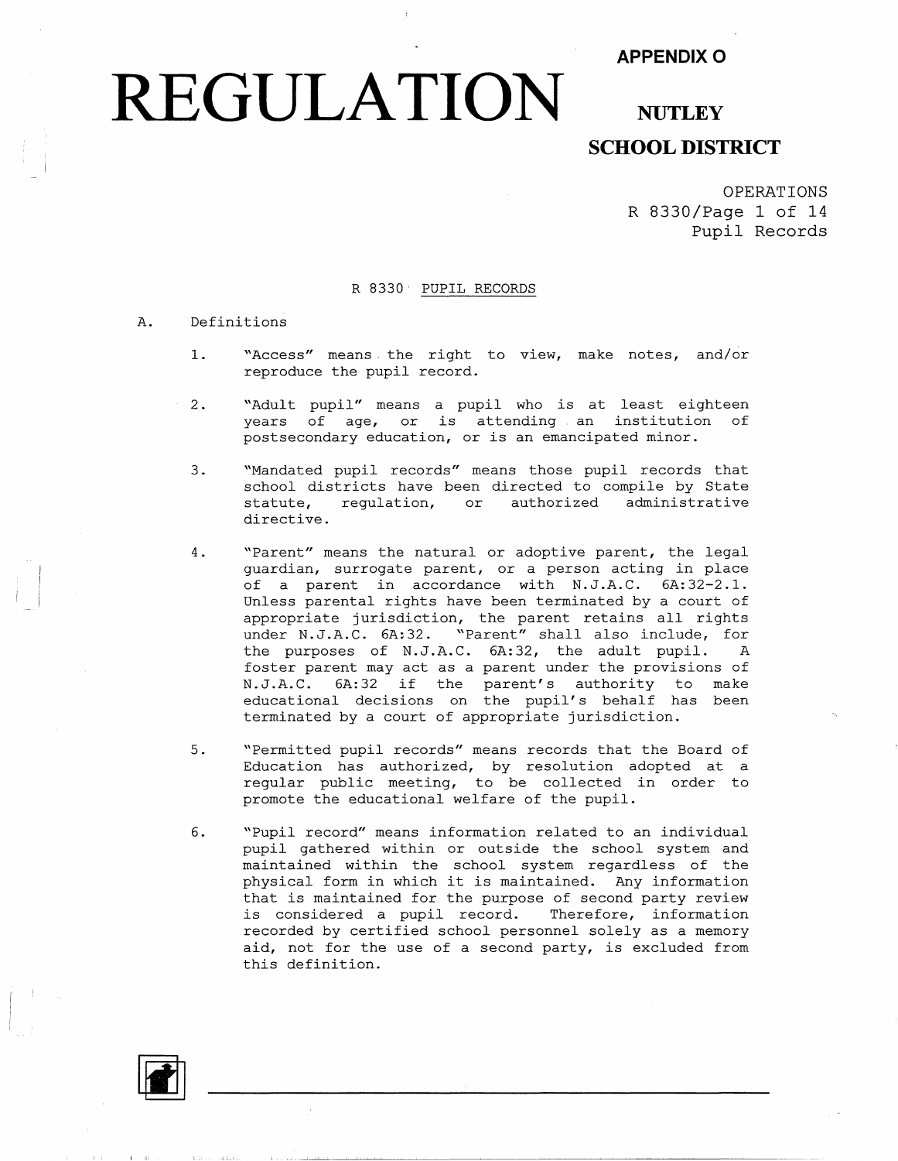#### **APPENDIXO**

## **REGULATION** NUTLEY

### **SCHOOL DISTRICT**

OPERATIONS R 8330/Page 1 of 14 **Pupil** Records

#### R 8330' PUPIL RECORDS

#### A. Definitions

- 1. "Access" means the right to view, make notes, and/or reproduce the pupil record.
- 2. "Adult pupil" means a pupil who is at least eighteen years of age, or is attending an institution of postsecondary education, or is an emancipated minor.
- 3. "Mandated pupil records" means those pupil records that school districts have been directed to compile by State<br>statute, regulation, or authorized administrative statute, regulation, or directive.
- 4. "Parent" means the natural or adoptive parent, the legal guardian, surrogate parent, or a person acting in place of a parent in accordance with N.J.A.C. 6A:32-2.1. Unless parental rights have been terminated by a court of appropriate jurisdiction, the parent retains all rights under N.J.A.C. 6A:32. "Parent" shall also include, for the purposes of N.J.A.C. 6A:32, the adult pupil. A foster parent may act as a parent under the provisions of N.J.A.C. 6A:32 if the parent's authority to make educational decisions on the pupil's behalf has been terminated by a court of appropriate jurisdiction.
- 5. "Permitted pupil records" means records that the Board of Education has authorized, by resolution adopted at a regular public meeting, to be collected in order to promote the educational welfare of the pupil.
- 6. "Pupil record" means information related to an individual pupil gathered within or outside the school system and maintained within the school system regardless of the physical form in which it is maintained. Any information that is maintained for the purpose of second party review is considered a pupil record. Therefore, information recorded by certified school personnel solely as a memory aid, not for the use of a second party, *is* excluded from this definition.



I ·II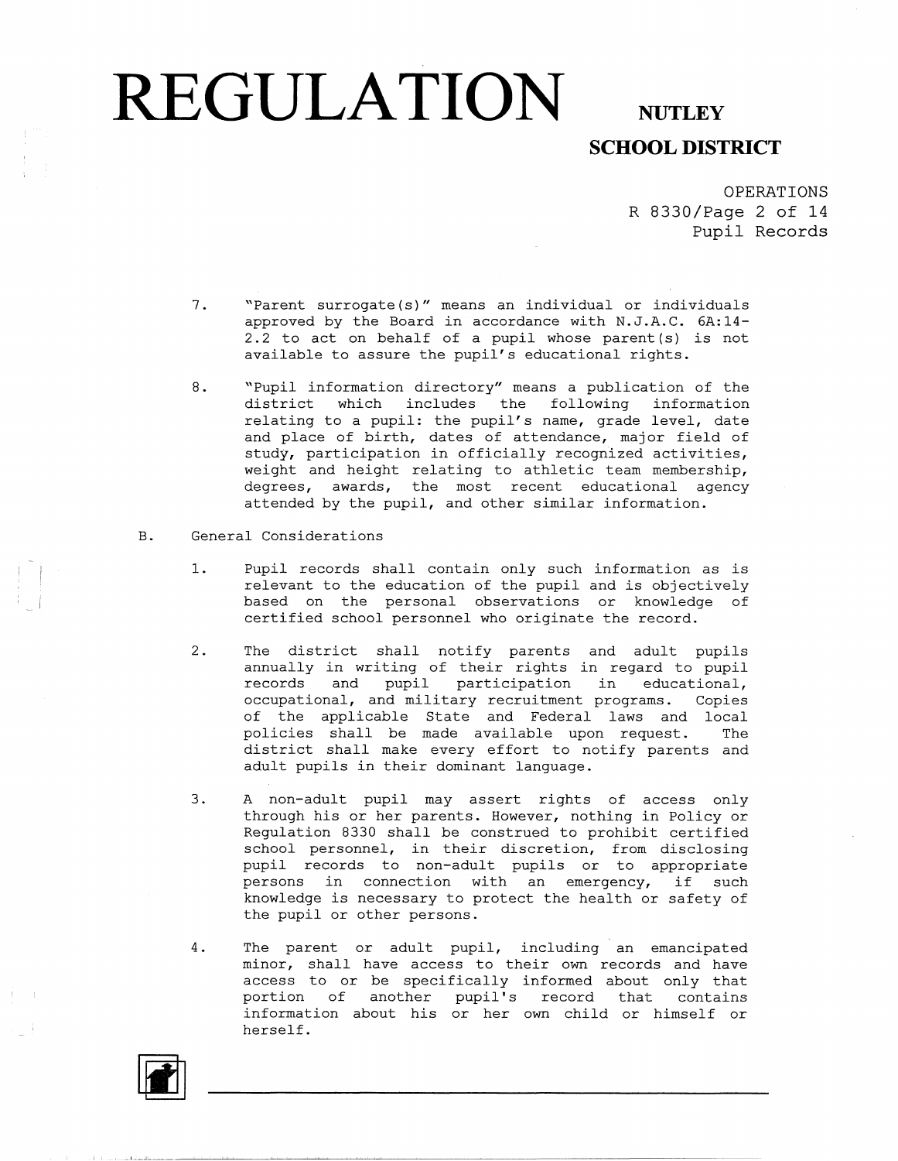### **SCHOOL DISTRICT**

OPERATIONS R 8330/Page 2 of 14 Pupil Records

- 7. "Parent surrogate (s)" means an individual or individuals approved by the Board in accordance with N.J.A.C. 6A:14- 2.2 to act on behalf of a pupil whose parent (s) is not available to assure the pupil's educational rights.
- 8. "Pupil information directory" means a publication of the district which includes the following information relating to a pupil: the pupil's name, grade level, date and place of birth, dates of attendance, major field of study, participation in officially recognized activities, weight and height relating to athletic team membership, degrees, awards, the most recent educational agency attended by the pupil, and other similar information.

#### B. General Considerations

- 1. Pupil records shall contain only such information as is relevant to the education of the pupil and is objectively based on the personal observations or knowledge of certified school personnel who originate the record.
- 2. The district shall notify parents and adult pupils annually in writing of their rights in regard to pupil records and pupil participation in educational, occupational, and military recruitment programs. Copies of the applicable State and Federal laws and local policies shall be made available upon request. The district shall make every effort to notify parents and adult pupils in their dominant language.
- 3. A non-adult pupil may assert rights of access only through his or her parents. However, nothing in Policy or Regulation 8330 shall be construed to prohibit certified school personnel, in their discretion, from disclosing pupil records to non-adult pupils or to appropriate persons in connection with an emergency, if such knowledge is necessary to protect the health or safety of the pupil or other persons.
- 4. The parent or adult pupil, including an emancipated minor, shall have access to their own records and have access to or be specifically informed about only that portion of another pupil's record that contains information about his or her own child or himself or herself.

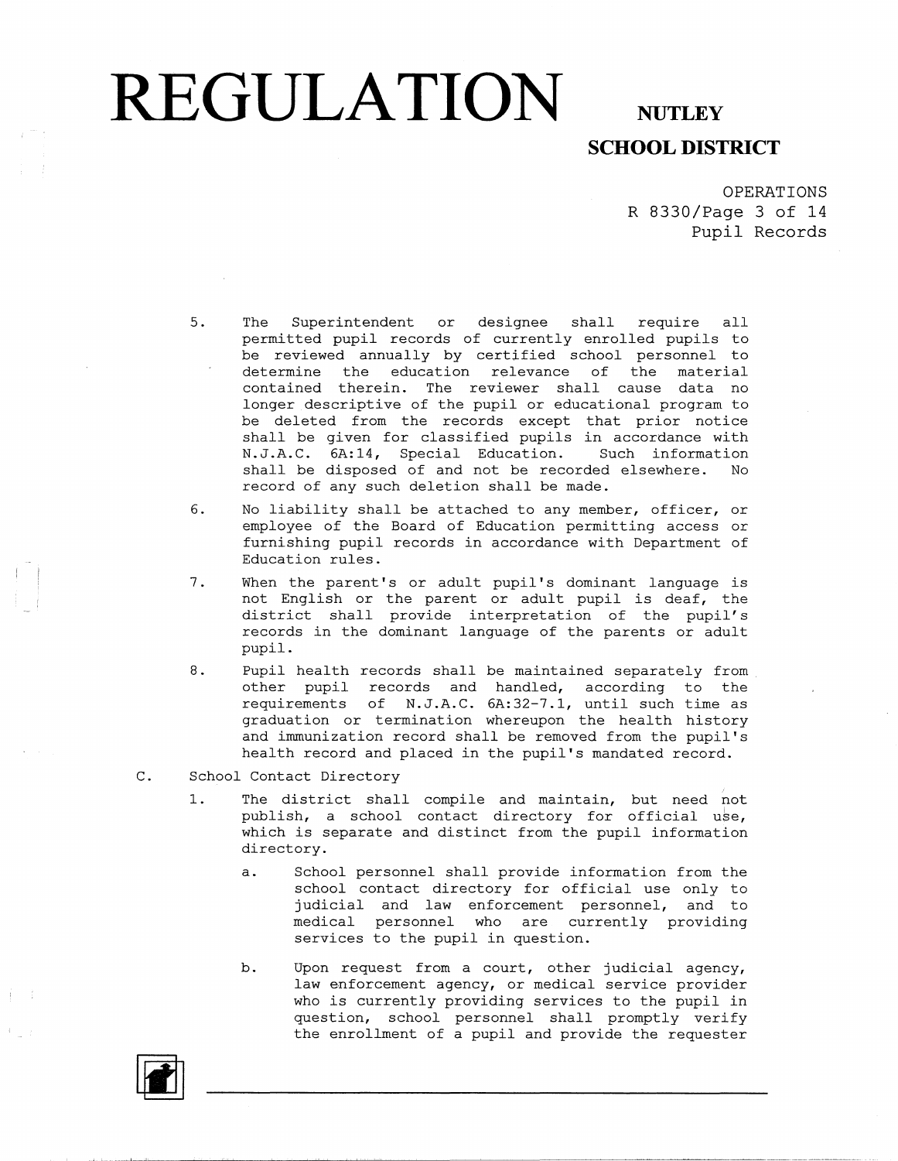### **SCHOOL DISTRICT**

OPERATIONS R 8330/Page 3 of 14 **Pupil** Records

- 5. The Superintendent or designee shall require all permitted pupil records of currently enrolled pupils to be reviewed annually by certified school personnel to determine the education relevance of the material contained therein. The reviewer shall cause data no longer descriptive of the pupil or educational program to be deleted from the records except that prior notice shall be given for classified pupils in accordance with N.J.A.C. 6A:14, Special Education. Such information shall be disposed of and not be recorded elsewhere. No record of any such deletion shall be made.
- 6. No liability shall be attached to any member, officer, or employee of the Board of Education permitting access or furnishing pupil records in accordance with Department of Education rules.
- 7. When the parent's or adult pupil's dominant language is not English or the parent or adult pupil is deaf, the district shall provide interpretation of the pupil's records in the dominant language of the parents or adult pupil.
- 8. Pupil health records shall be maintained separately from . other pupil records and handled, according to the requirements of N.J.A.C. 6A:32-7.1, until such time as graduation or termination whereupon the health history and immunization record shall be removed from the pupil's health record and placed in the pupil's mandated record.
- C. School Contact Directory
	- 1. The district shall compile and maintain, but need not publish, a school contact directory for official use, which is separate and distinct from the pupil information directory.
		- a. School personnel shall provide information from the school contact directory for official use only to judicial and law enforcement personnel, and to medical personnel who are currently providing services to the pupil in question.
		- b. Upon request from a court, other judicial agency, law enforcement agency, or medical service provider who is currently providing services to the pupil in question, school personnel shall promptly verify the enrollment of a pupil and provide the requester

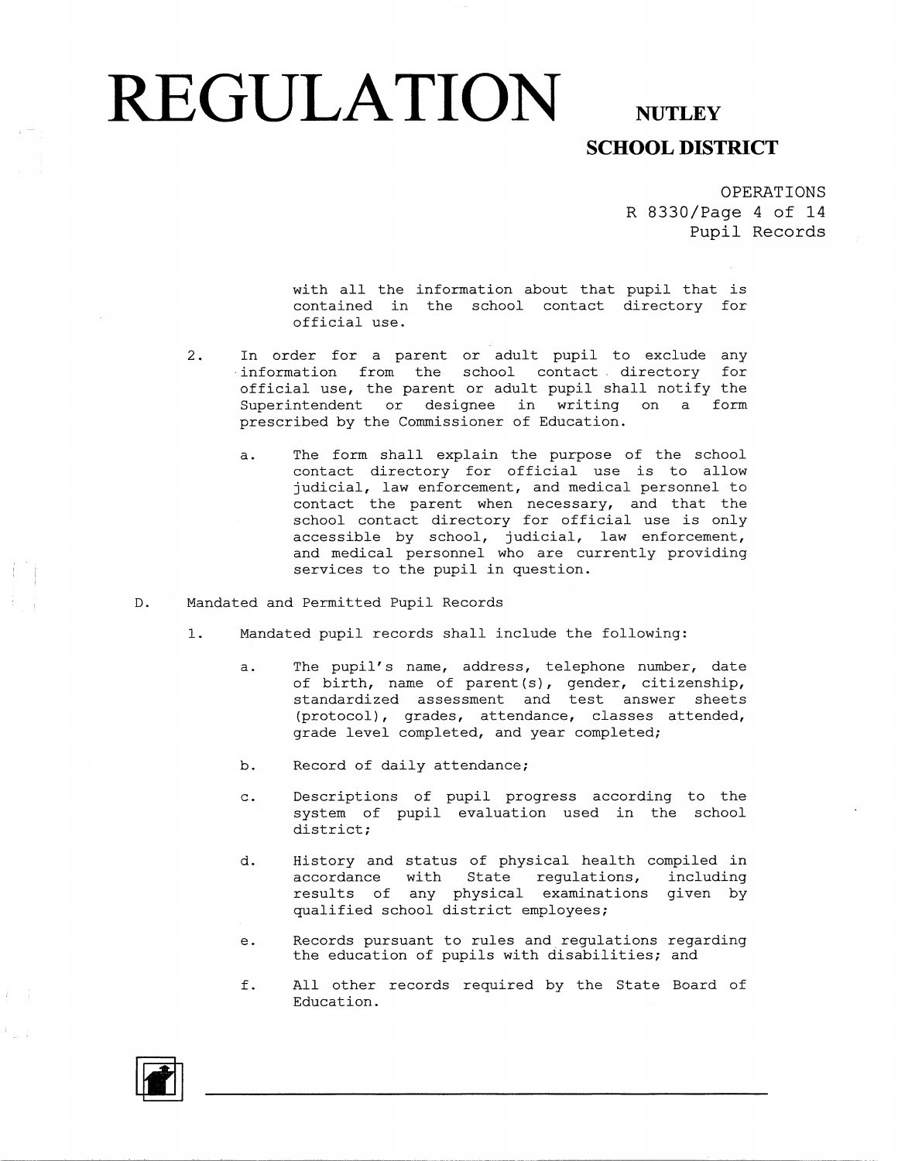#### **REGULATION** NUTLEY **SCHOOL DISTRICT**

OPERATIONS

R 8330/Page 4 of 14 Pupil Records

with all the information about that pupil that is contained in the school contact directory for official use.

- 2. In order for a parent or adult pupil to exclude any · information from the school contact directory for official use, the parent or adult pupil shall notify the Superintendent or designee in writing on a form prescribed by the Commissioner of Education.
	- a. The form shall explain the purpose of the school contact directory for official use is to allow judicial, law enforcement, and medical personnel to contact the parent when necessary, and that the school contact directory for official use is only accessible by school, judicial, law enforcement, and medical personnel who are currently providing services to the pupil in question.
- D. Mandated and Permitted Pupil Records
	- 1. Mandated pupil records shall include the following:
		- a. The pupil's name, address, telephone number, date of birth, name of parent (s), gender, citizenship, standardized assessment and test answer sheets (protocol), grades, attendance, classes attended, grade level completed, and year completed;
		- b. Record of daily attendance;
		- c. Descriptions of pupil progress according to the system of pupil evaluation used in the school district;
		- d. History and status of physical health compiled in accordance with State regulations, including results of any physical examinations given by qualified school district employees;
		- e. Records pursuant to rules and regulations regarding the education of pupils with disabilities; and
		- f. All other records required by the State Board of Education.

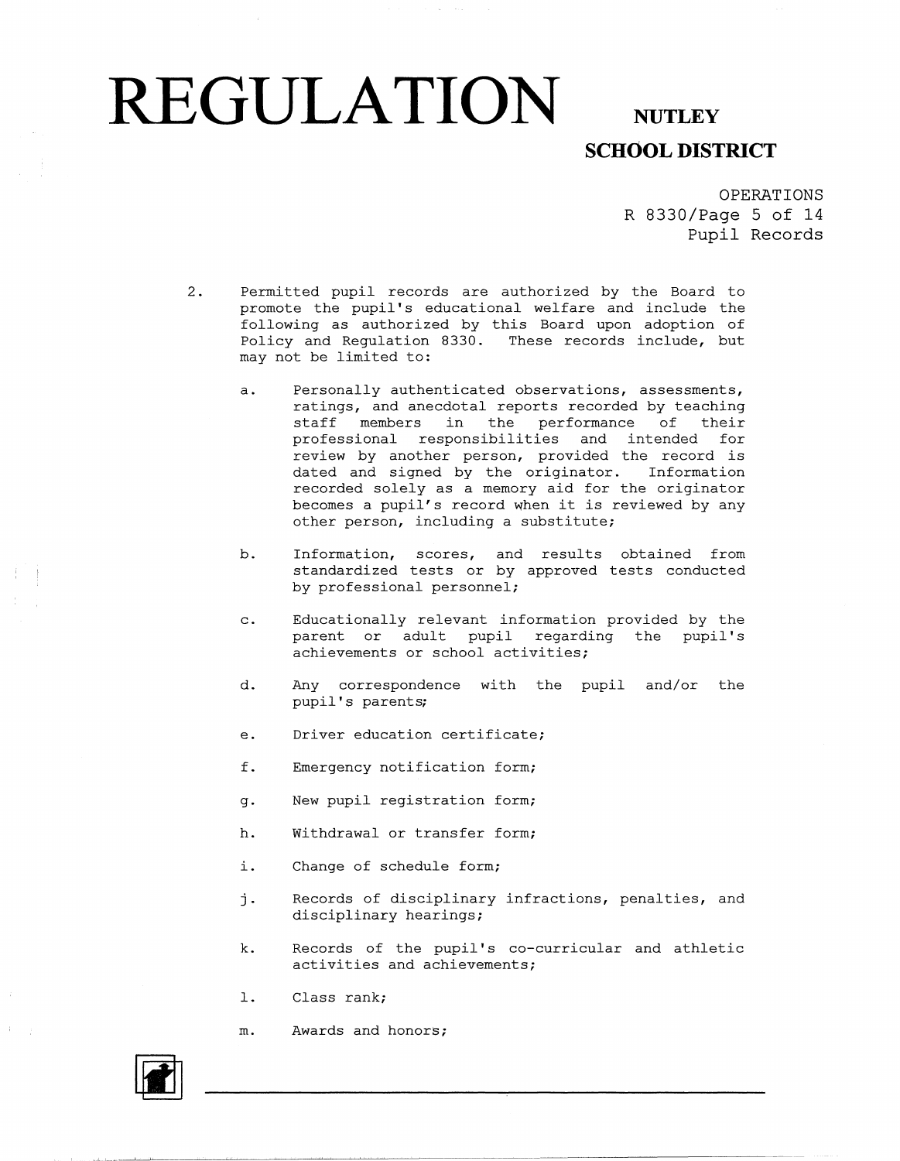#### **REGULATION** NUTLEY **SCHOOL DISTRICT**

OPERATIONS R 8330/Page 5 of 14 Pupil Records

- 2. Permitted pupil records are authorized by the Board to promote the pupil's educational welfare and include the following as authorized by this Board upon adoption of Policy and Regulation 8330. These records include, but may not be limited to:
	- a. Personally authenticated observations, assessments, ratings, and anecdotal reports recorded by teaching staff members in the performance of their professional responsibilities and intended for review by another person, provided the record is dated and signed by the originator. Information recorded solely as a memory aid for the originator becomes a pupil's record when it is reviewed by any other person, including a substitute;
	- b. Information, scores, and results obtained from standardized tests or by approved tests conducted by professional personnel;
	- c. Educationally relevant information provided by the parent or adult pupil regarding the pupil's achievements or school activities;
	- d. Any correspondence with the pupil and/or the pupil's parents;
	- e. Driver education certificate;
	- f. Emergency notification form;
	- g. New pupil registration form;
	- h. Withdrawal or transfer form;
	- i. Change of schedule form;
	- j. Records of disciplinary infractions, penalties, and disciplinary hearings;
	- k. Records of the pupil's co-curricular and athletic activities and achievements;
	- 1. Class rank;
	- m. Awards and honors;

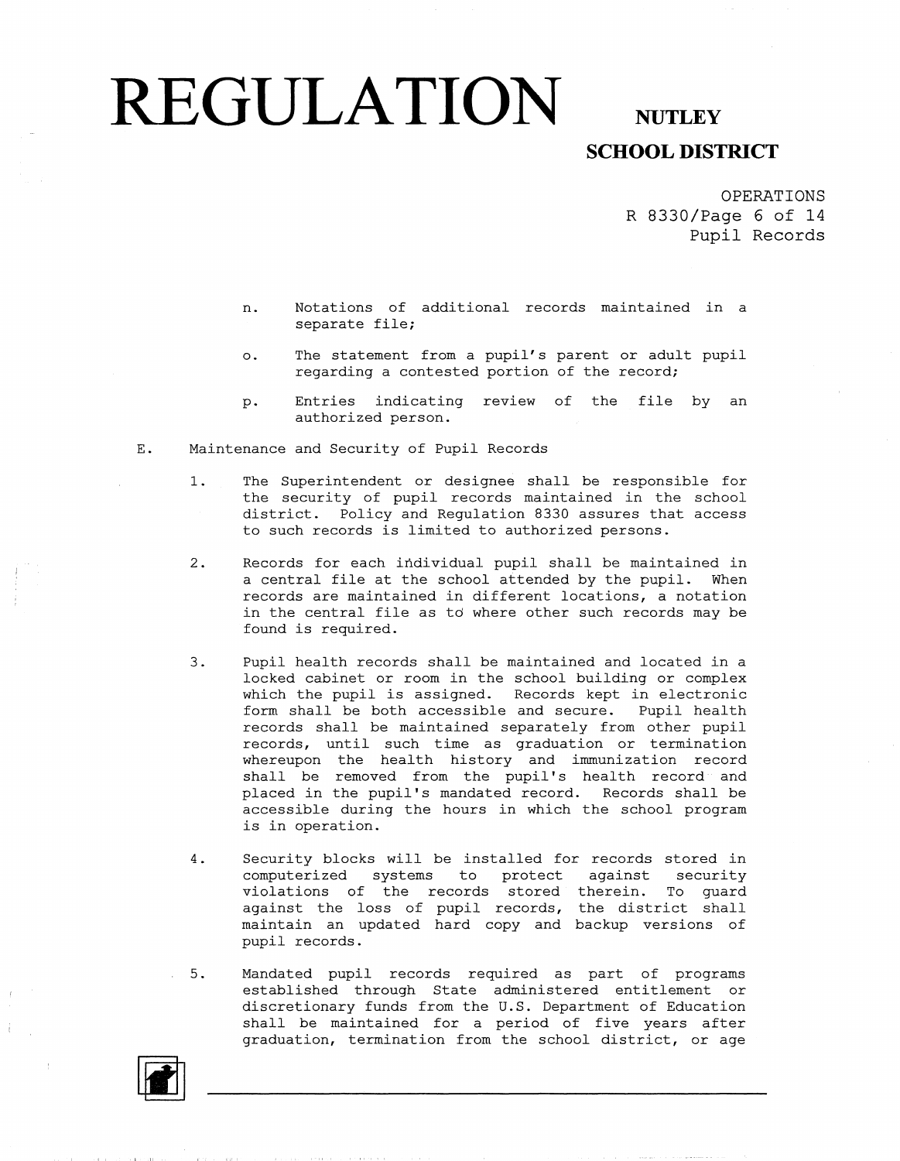#### **SCHOOL DISTRICT**

OPERATIONS R 8330/Page 6 of 14 Pupil Records

- n. Notations of additional records maintained in a separate file;
- o. The statement from a pupil's parent or adult pupil regarding a contested portion of the record;
- p. Entries indicating review of the file by an authorized person.
- E. Maintenance and Security of Pupil Records
	- 1. The Superintendent or designee shall be responsible for the security of pupil records maintained in the school district. Policy and Regulation 8330 assures that access to such records is limited to authorized persons.
	- 2. Records for each individual pupil shall be maintained in a central file at the school attended by the pupil. When records are maintained in different locations, a notation in the central file as td where other such records may be found is required.
	- 3. Pupil health records shall be maintained and located in a locked cabinet or room in the school building or complex which the pupil is assigned. Records kept in electronic form shall be both accessible and secure. Pupil health records shall be maintained separately from other pupil records, until such time as graduation or termination whereupon the health history and immunization record shall be removed from the pupil's health record and placed in the pupil's mandated record. Records shall be accessible during the hours in which the school program is in operation.
	- 4. Security blocks will be installed for records stored in computerized systems to protect against security violations of the records stored therein. To guard against the loss of pupil records, the district shall maintain an updated hard copy and backup versions of pupil records.
	- 5. Mandated pupil records required as part of programs established through State administered entitlement or discretionary funds from the U.S. Department of Education shall be maintained for a period of five years after graduation, termination from the school district, or age

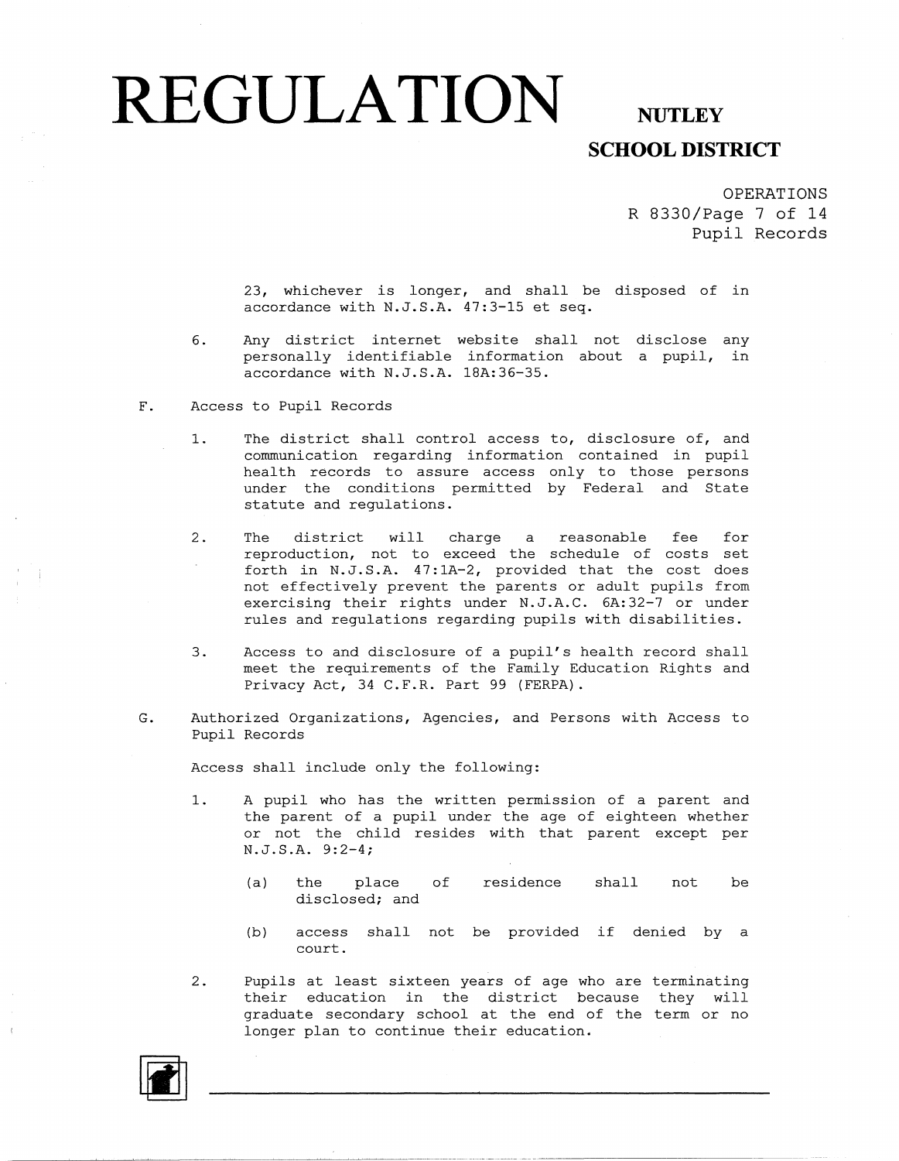## **SCHOOL DISTRICT**

OPERATIONS R 8330/Page 7 of 14 Pupil Records

23, whichever is longer, and shall be disposed of in accordance with N.J.S.A. 47:3-15 et seq.

- 6. Any district internet website shall not disclose any personally identifiable information about a pupil, in .<br>accordance with N.J.S.A. 18A:36-35.
- F. Access to Pupil Records
	- 1. The district shall control access to, disclosure of, and communication regarding information contained in pupil health records to assure access only to those persons under the conditions permitted by Federal and State statute and regulations.
	- 2. The district will charge a reasonable fee for reproduction, not to exceed the schedule of costs set forth in N.J.S.A. 47:lA-2, provided that the cost does not effectively prevent the parents or adult pupils from exercising their rights under N.J.A.C. 6A:32-7 or under rules and regulations regarding pupils with disabilities.
	- 3. Access to and disclosure of a pupil's health record shall meet the requirements of the Family Education Rights and Privacy Act, 34 C.F.R. Part 99 (FERPA).
- G. Authorized Organizations, Agencies, and Persons with Access to Pupil Records

Access shall include only the following:

- 1. A pupil who has the written permission of a parent and the parent of a pupil under the age of eighteen whether or not the child resides with that parent except per N.J.S.A. 9:2-4;
	- (a) the place of residence shall not be disclosed; and
	- (b) access shall not be provided if denied by a court.
- 2. Pupils at least sixteen years of age who are terminating their education in the district because they will graduate secondary school at the end of the term or no longer plan to continue their education.

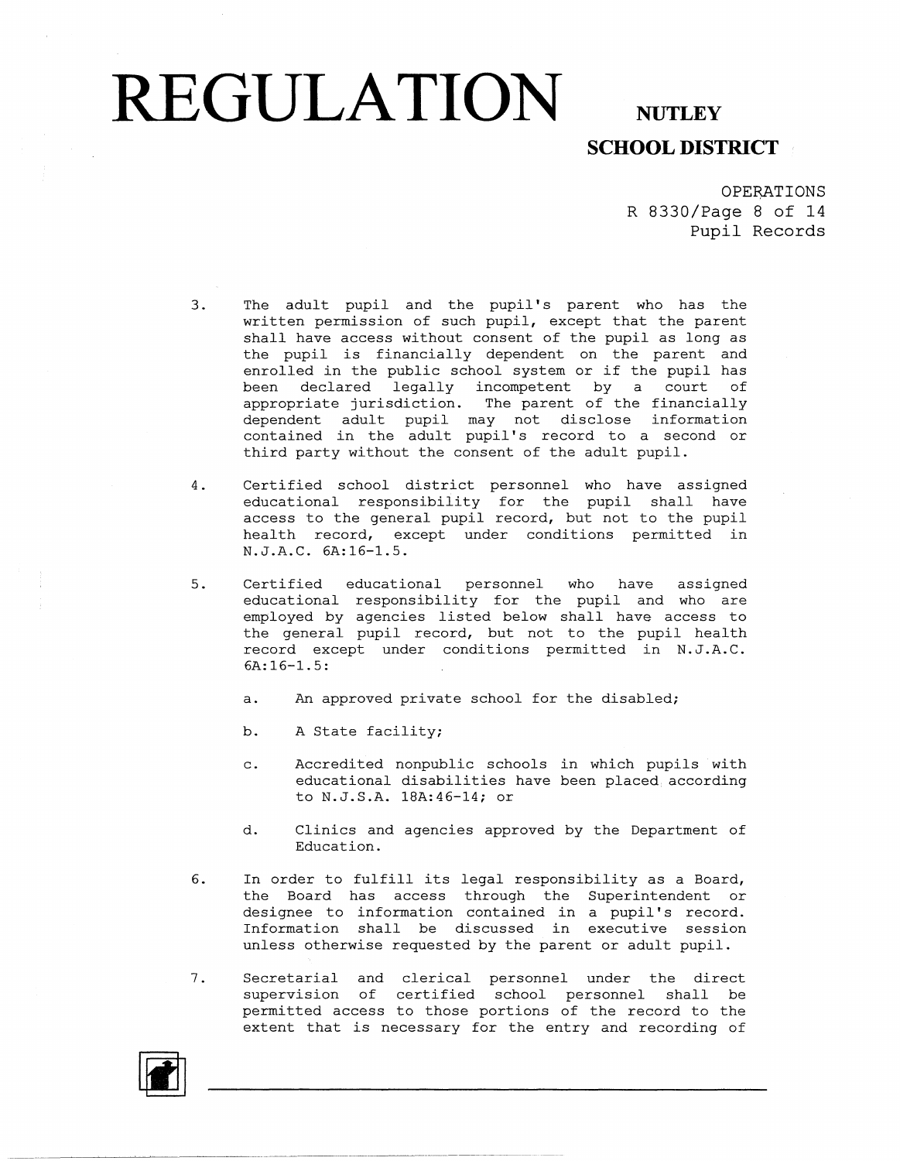## **SCHOOL DISTRICT**

OPERATIONS R 8330/Page 8 of 14 Pupil Records

- 3. The adult pupil and the pupil's parent who has the written permission of such pupil, except that the parent shall have access without consent of the pupil as long as the pupil is financially dependent on the parent and enrolled in the public school system or if the pupil has been declared legally incompetent by a court of appropriate jurisdiction. The parent of the financia dependent adult pupil may not disclose informati contained in the adult pupil's record to a second or third party without the consent of the adult pupil.
- 4. Certified school district personnel who have assigned educational responsibility for the pupil shall have access to the general pupil record, but not to the pupi health record, except under conditions permitted in N.J.A.C. 6A:16-1.
- 5. Certified educational personnel who have assigned educational responsibility for the pupil and who are employed by agencies listed below shall have access to the general pupil record, but not to the pupil health record except under conditions permitted in N.J.A.C. 6A: 16-1. 5:
	- a. An approved private school for the disabled;
	- b. A State facility;
	- c. Accredited nonpublic schools in which pupils with educational disabilities have been placed according to N.J.S.A. 18A:46-14; or
	- d. Clinics and agencies approved by the Department of Education.
- 6. In order to fulfill its legal responsibility as a Board, the Board has access through the Superintendent or designee to information contained in a pupil's recore Information shall be discussed in executive session unless otherwise requested by the parent or adult pupil.
- 7. Secretarial and clerical personnel under the direct supervision of certified school personnel shall be permitted access to those portions of the record to the extent that is necessary for the entry and recording of

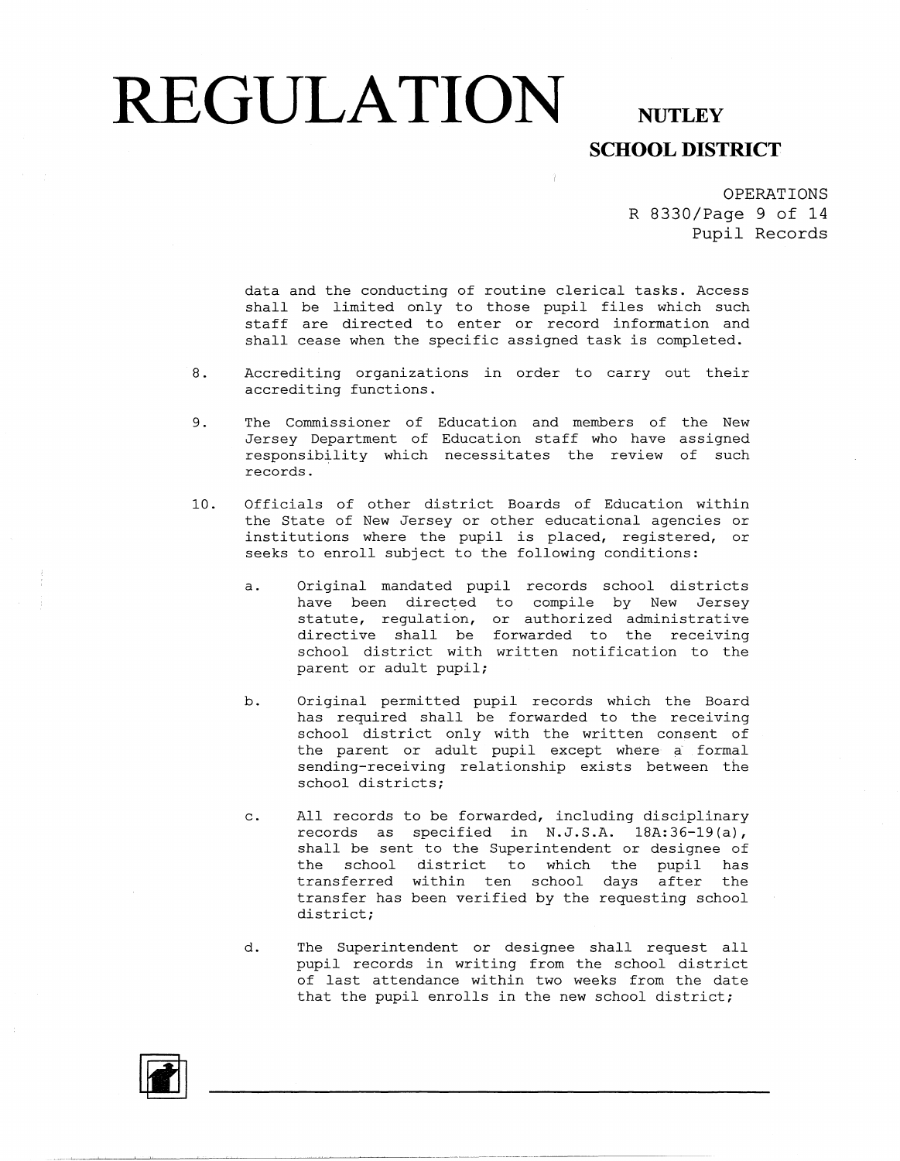## **SCHOOL DISTRICT**

OPERATIONS R 8330/Page 9 of 14 Pupil Records

data and the conducting of routine clerical tasks. Access shall be limited only to those pupil files which such staff are directed to enter or record information and shall cease when the specific assigned task is completed.

- 8. Accrediting organizations in order to carry out their accrediting functions.
- 9. The Commissioner of Education and members of the New Jersey Department of Education staff who have assign responsibility which necessitates the review of such records.
- 10. Officials of other district Boards of Education within the State of New Jersey or other educational agencies or institutions where the pupil is placed, registered, or seeks to enroll subject to the following conditions:
	- a. Original mandated pupil records school districts have been directed to compile by New Jersey statute, regulation, or authorized administra directive shall be forwarded to the receivi school district with written notification to the parent or adult pupil;
	- b. Original permitted pupil records which the Board has required shall be forwarded to the receiving school district only with the written consent of the parent or adult pupil except where a formal sending-receiving relationship exists between the school districts;
	- c. All records to be forwarded, including disciplinary records as specified in N.J.S.A. 18A:36-19(a), shall be sent to the Superintendent or designee of the school district to which the pupil has transferred within ten school days after the transfer has been verified by the requesting school district;
	- d. The Superintendent or designee shall request all pupil records in writing from the school district of last attendance within two weeks from the date that the pupil enrolls in the new school district;

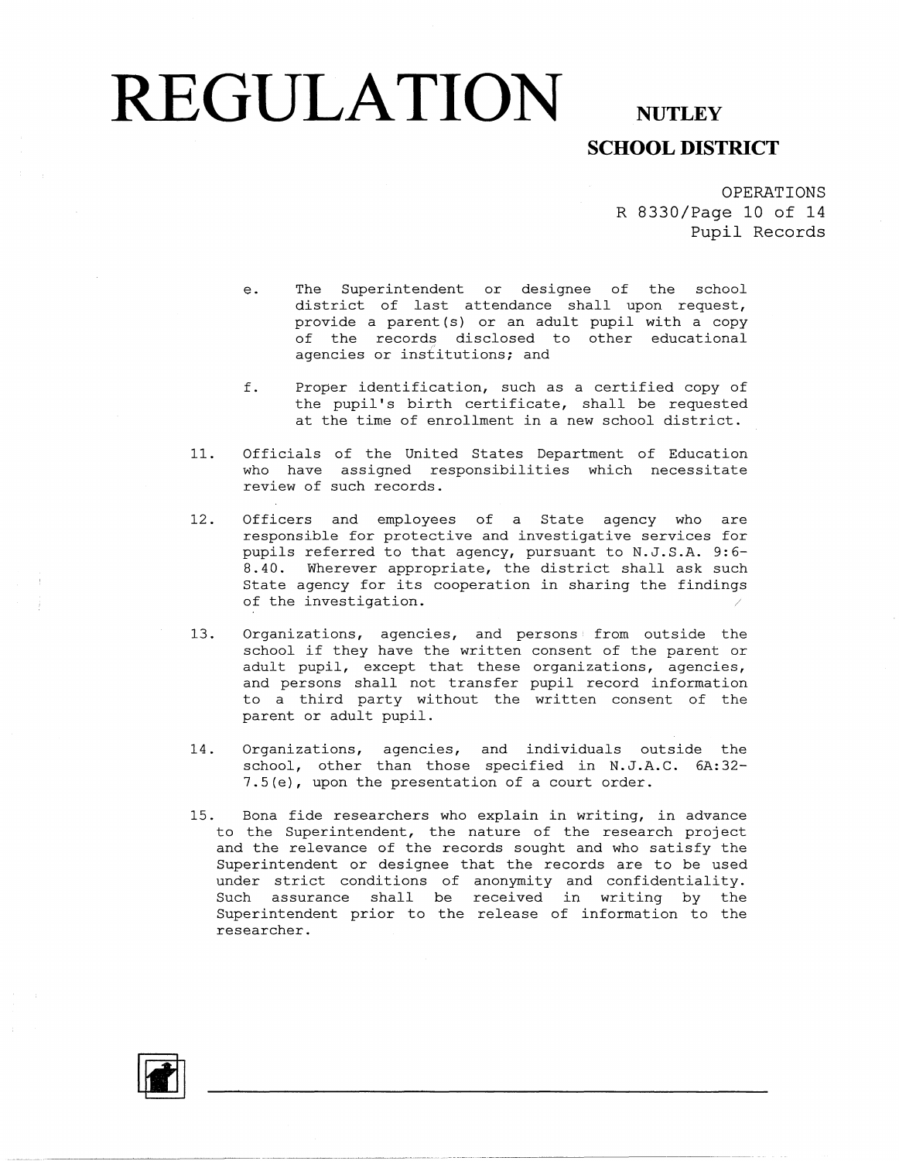### **SCHOOL DISTRICT**

OPERATIONS R 8330/Page 10 of 14 **Pupil** Records

- e. The Superintendent or designee of the school district of last attendance shall upon request, provide a parent(s) or an adult pupil with a copy of the records disclosed to other educational agencies or institutions; and
- f. Proper identification, such as a certified copy of the pupil's birth certificate, shall be requested at the time of enrollment in a new school district.
- 11. Officials of the United States Department of Education who have assigned responsibilities which necessitate review of such records.
- 12. Officers and employees of a State agency who are responsible for protective and investigative services for pupils referred to that agency, pursuant to N.J.S.A. 9:6- 8.40. Wherever appropriate, the district shall ask such State agency for its cooperation in sharing the findings of the investigation.
- 13. Organizations, agencies, and persons from outside the school if they have the written consent of the parent or adult pupil, except that these organizations, agencies, and persons shall not transfer pupil record information to a third party without the written consent of the parent or adult pupil.
- 14. Organizations, agencies, and individuals outside the school, other than those specified in N.J.A.C. 6A:32 7 .5 (e), upon the presentation of a court order.
- 15. Bona fide researchers who explain in writing, in advance to the Superintendent, the nature of the research project and the relevance of the records sought and who satisfy the Superintendent or designee that the records are to be used under strict conditions of anonymity and confidentia Such assurance shall be received in writing by the Superintendent prior to the release of information to the researcher.

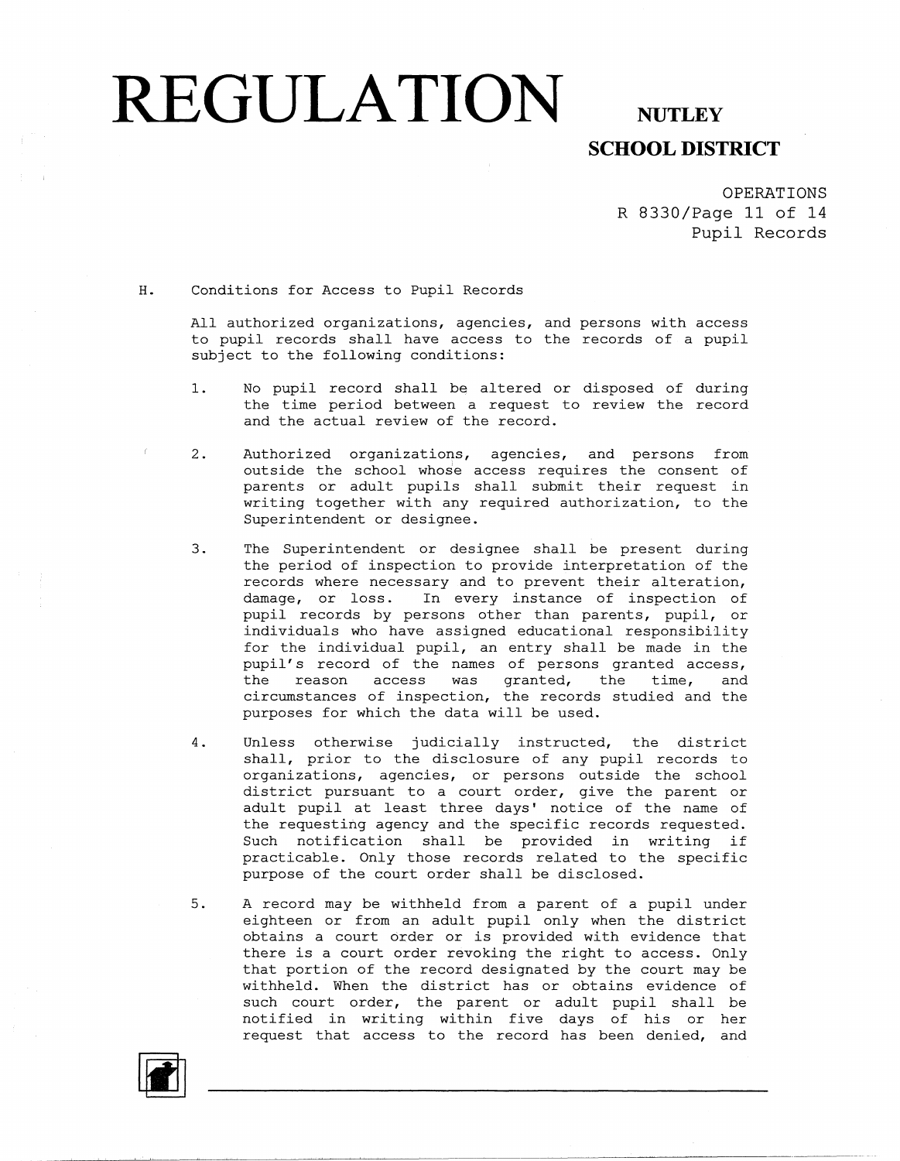## **REGULATION**

#### **NUTLEY SCHOOL DISTRICT**

OPERATIONS R 8330/Page 11 of 14 Pupil Records

H. Conditions for Access to Pupil Records

All authorized organizations, agencies, and persons with access to pupil records shall have access to the records of a pupil subject to the following conditions:

- 1. No pupil record shall be altered or disposed of during the time period between a request to review the record and the actual review of the record.
- 2. Authorized organizations, agencies, and persons from outside the school whose access requires the consent of parents or adult pupils shall submit their request in writing together with any required authorization, to the Superintendent or designee.
- 3. The Superintendent or designee shall be present during the period of inspection to provide interpretation of the records where necessary and to prevent their alteration, damage, or loss. In every instance of inspection of pupil records by persons other than parents, pupil, or individuals who have assigned educational responsibility for the individual pupil, an entry shall be made in the pupil's record of the names of persons granted access, the reason access was granted, the time, and circumstances of inspection, the records studied and the purposes for which the data will be used.
- 4. Unless otherwise judicially instructed, the district shall, prior to the disclosure of any pupil records to organizations, agencies, or persons outside the school district pursuant to a court order, give the parent or adult pupil at least three days' notice of the name of the requesting agency and the specific records requested. Such notification shall be provided in writing if practicable. Only those records related to the specific purpose of the court order shall be disclosed.
- 5. A record may be withheld from a parent of a pupil under eighteen or from an adult pupil only when the district obtains a court order or is provided with evidence that there is a court order revoking the right to access. Only that portion of the record designated by the court may be withheld. When the district has or obtains evidence of such court order, the parent or adult pupil shall be notified in writing within five days of his or her request that access to the record has been denied, and

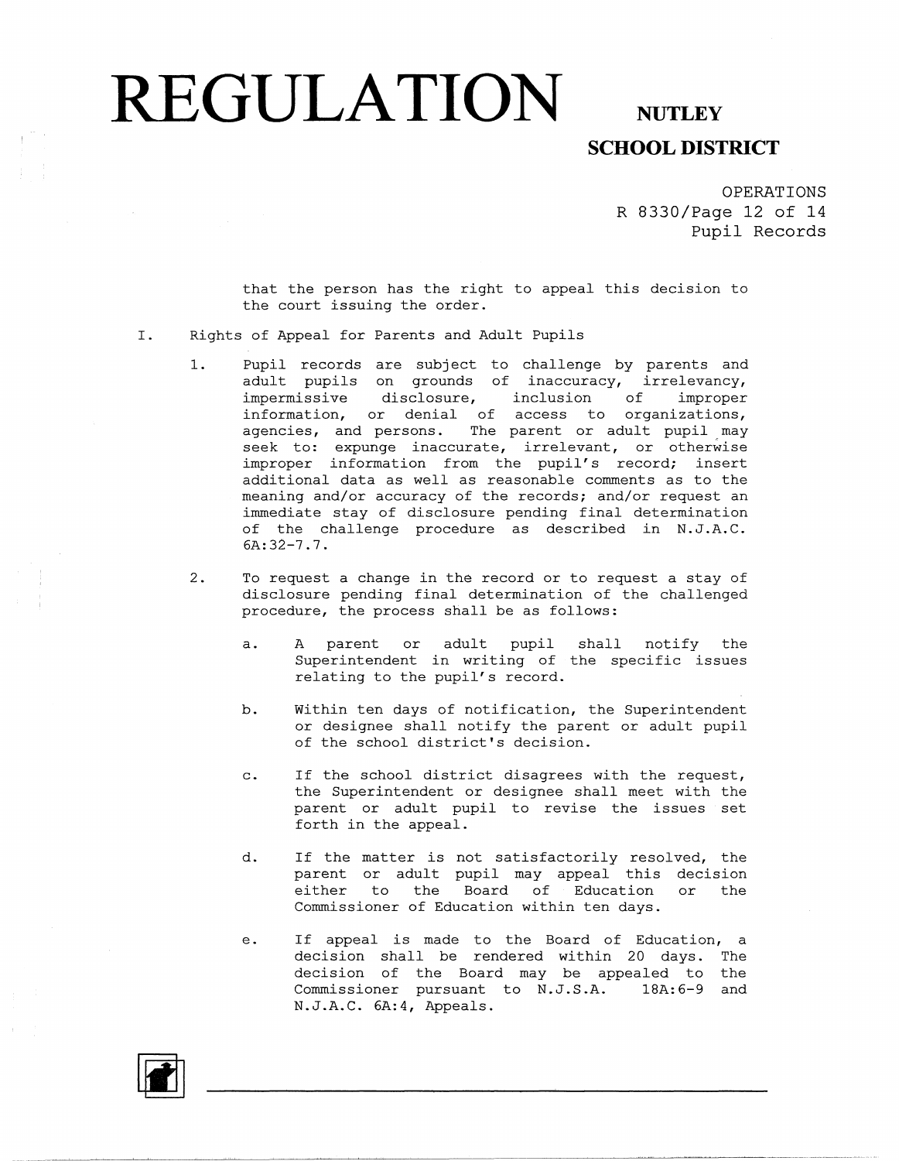## **SCHOOL DISTRICT**

OPERATIONS R 8330/Page 12 of 14 Pupil Records

that the person has the right to appeal this decision to the court issuing the order.

- I. Rights of Appeal for Parents and Adult Pupils
	- 1. Pupil records are subject to challenge by parents and adult pupils on grounds of inaccuracy, irrelevan impermissive disclosure, inclusion of improper information, or denial of access to organizations, agencies, and persons. The parent or adult pupil may seek to: expunge inaccurate, irrelevant, or otherwise improper information from the pupil's record; insert additional data as well as reasonable comments as to the meaning and/or accuracy of the records; and/or request an immediate stay of disclosure pending final determination of the challenge procedure as described in N.J.A.C. 6A:32-7.7.
	- 2. To request a change in the record or to request a stay of disclosure pending final determination of the challenged procedure, the process shall be as follows:
		- a. A parent or adult pupil shall notify the Superintendent in writing of the specific issues relating to the pupil's record.
		- b. Within ten days of notification, the Superintendent or designee shall notify the parent or adult pupil of the school district's decision.
		- c. If the school district disagrees with the request, the Superintendent or designee shall meet with the parent or adult pupil to revise the issues set forth in the appeal.
		- d. If the matter is not satisfactorily resolved, the parent or adult pupil may appeal this decision either to the Board of Education or the Commissioner of Education within ten days.
		- e. If appeal is made to the Board of Education, a decision shall be rendered within 20 days. The decision of the Board may be appealed to the Commissioner pursuant to N.J.S.A. lBA:6-9 and N.J.A.C. 6A:4, Appeals.

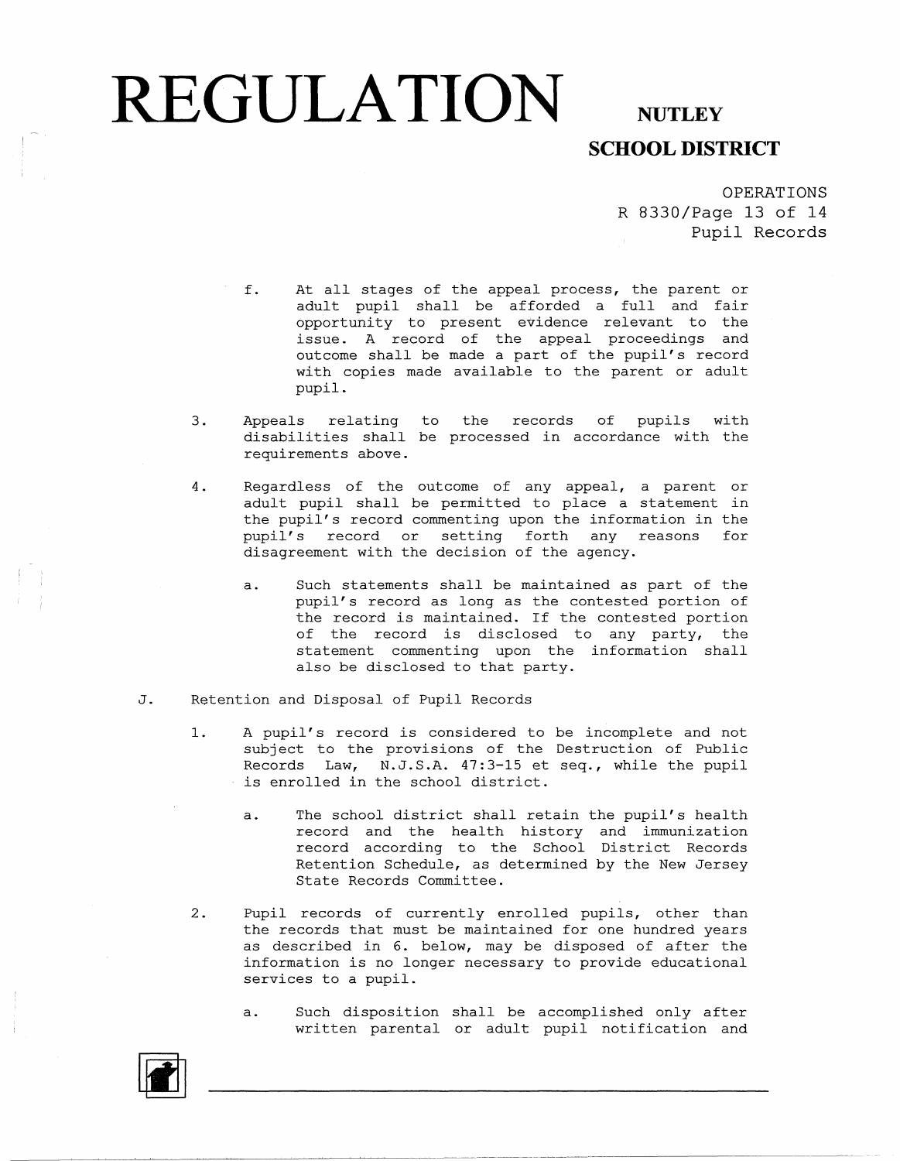#### **REGULATION** NUTLEY **SCHOOL DISTRICT**

OPERATIONS R 8330/Page 13 of 14 Pupil Records

- f. At all stages of the appeal process, the parent or adult pupil shall be afforded a full and fair opportunity to present evidence relevant to the issue. A record of the appeal proceedings and outcome shall be made a part of the pupil's record with copies made available to the parent or adult pupil.
- 3. Appeals relating to the records of pupils with disabilities shall be processed in accordance with the requirements above.
- 4. Regardless of the outcome of any appeal, a parent or adult pupil shall be permitted to place a statement in the pupil's record commenting upon the information in the pupil's record or setting forth any reasons for disagreement with the decision of the agency.
	- a. Such statements shall be maintained as part of the pupil's record as long as the contested portion of the record is maintained. If the contested portion of the record is disclosed to any party, the statement commenting upon the information shall also be disclosed to that party.
- J. Retention and Disposal of Pupil Records
	- 1. A pupil's record is considered to be incomplete and not subject to the provisions of the Destruction of Public Records Law, N.J.S.A. 47:3-15 et seq., while the pupil is enrolled in the school district.
		- a. The school district shall retain the pupil's health record and the health history and immunization record according to the School District Records Retention Schedule, as determined by the New Jersey State Records Committee.
	- 2. Pupil records of currently enrolled pupils, other than the records that must be maintained for one hundred years as described in 6. below, may be disposed of after the information is no longer necessary to provide educational services to a pupil.
		- a. Such disposition shall be accomplished only after written parental or adult pupil notification and